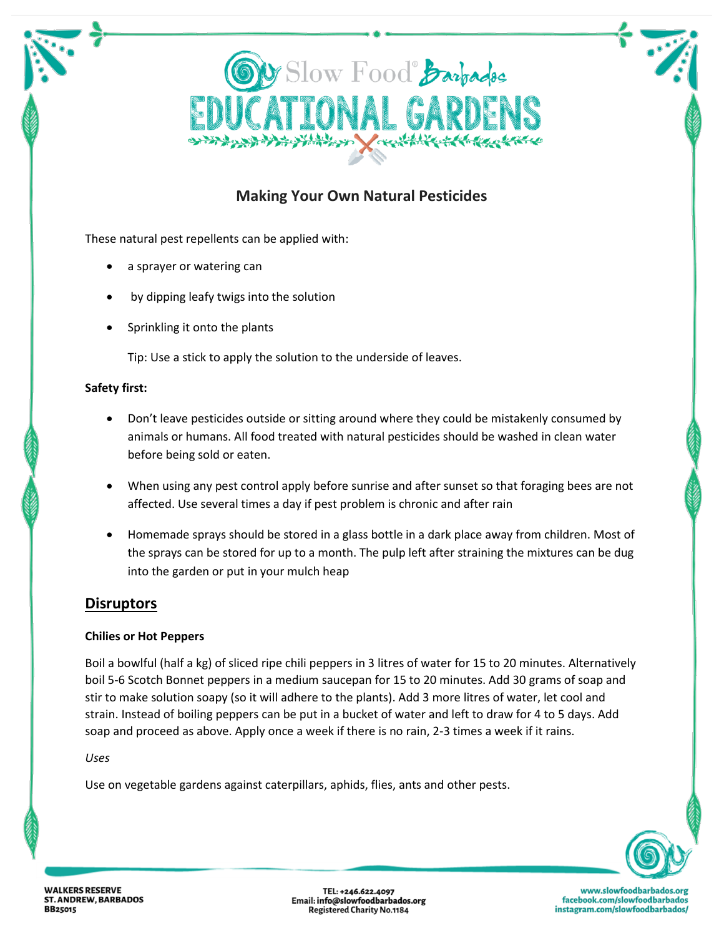

# **Making Your Own Natural Pesticides**

These natural pest repellents can be applied with:

- a sprayer or watering can
- by dipping leafy twigs into the solution
- Sprinkling it onto the plants

Tip: Use a stick to apply the solution to the underside of leaves.

## **Safety first:**

- Don't leave pesticides outside or sitting around where they could be mistakenly consumed by animals or humans. All food treated with natural pesticides should be washed in clean water before being sold or eaten.
- When using any pest control apply before sunrise and after sunset so that foraging bees are not affected. Use several times a day if pest problem is chronic and after rain
- Homemade sprays should be stored in a glass bottle in a dark place away from children. Most of the sprays can be stored for up to a month. The pulp left after straining the mixtures can be dug into the garden or put in your mulch heap

# **Disruptors**

## **Chilies or Hot Peppers**

Boil a bowlful (half a kg) of sliced ripe chili peppers in 3 litres of water for 15 to 20 minutes. Alternatively boil 5-6 Scotch Bonnet peppers in a medium saucepan for 15 to 20 minutes. Add 30 grams of soap and stir to make solution soapy (so it will adhere to the plants). Add 3 more litres of water, let cool and strain. Instead of boiling peppers can be put in a bucket of water and left to draw for 4 to 5 days. Add soap and proceed as above. Apply once a week if there is no rain, 2-3 times a week if it rains.

## *Uses*

Use on vegetable gardens against caterpillars, aphids, flies, ants and other pests.



TEL: +246.622.4097 Email: info@slowfoodbarbados.org **Registered Charity No.1184**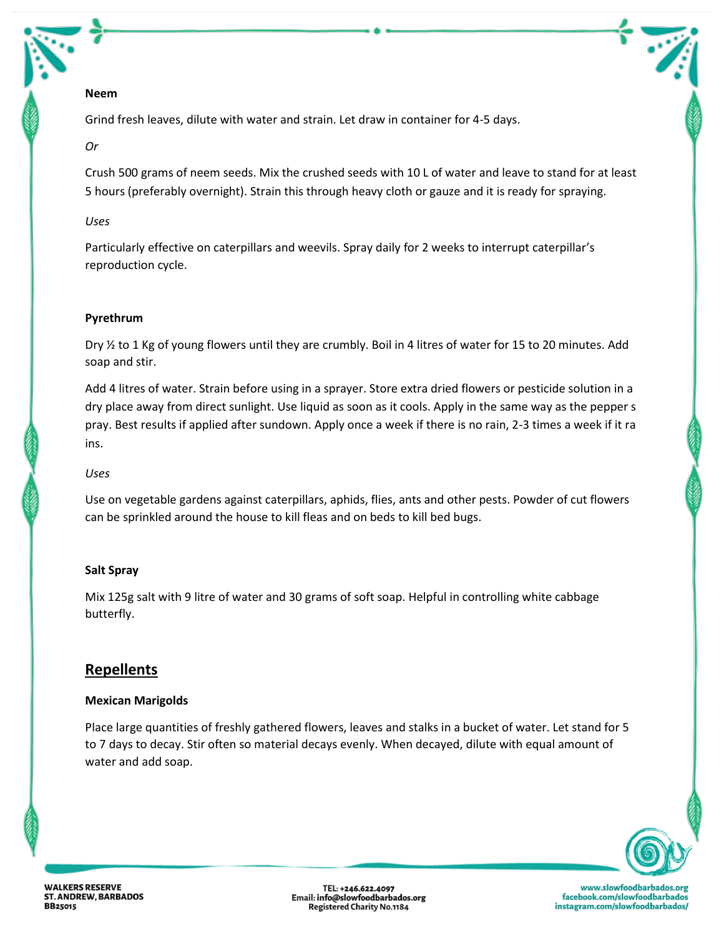## **Neem**

Grind fresh leaves, dilute with water and strain. Let draw in container for 4-5 days.

## *Or*

Crush 500 grams of neem seeds. Mix the crushed seeds with 10 L of water and leave to stand for at least 5 hours (preferably overnight). Strain this through heavy cloth or gauze and it is ready for spraying.

## *Uses*

Particularly effective on caterpillars and weevils. Spray daily for 2 weeks to interrupt caterpillar's reproduction cycle.

# **Pyrethrum**

Dry ½ to 1 Kg of young flowers until they are crumbly. Boil in 4 litres of water for 15 to 20 minutes. Add soap and stir.

Add 4 litres of water. Strain before using in a sprayer. Store extra dried flowers or pesticide solution in a dry place away from direct sunlight. Use liquid as soon as it cools. Apply in the same way as the pepper s pray. Best results if applied after sundown. Apply once a week if there is no rain, 2-3 times a week if it ra ins.

## *Uses*

Use on vegetable gardens against caterpillars, aphids, flies, ants and other pests. Powder of cut flowers can be sprinkled around the house to kill fleas and on beds to kill bed bugs.

## **Salt Spray**

Mix 125g salt with 9 litre of water and 30 grams of soft soap. Helpful in controlling white cabbage butterfly.

# **Repellents**

## **Mexican Marigolds**

Place large quantities of freshly gathered flowers, leaves and stalks in a bucket of water. Let stand for 5 to 7 days to decay. Stir often so material decays evenly. When decayed, dilute with equal amount of water and add soap.



TEL: +246.622.4097 Email: info@slowfoodbarbados.org **Registered Charity No.1184**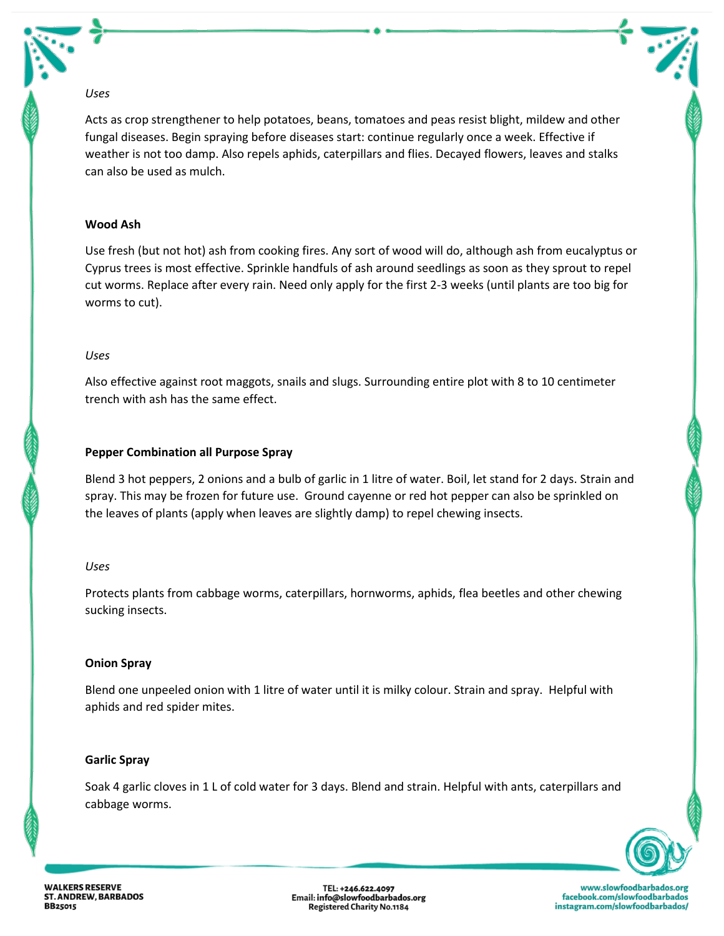#### *Uses*

Acts as crop strengthener to help potatoes, beans, tomatoes and peas resist blight, mildew and other fungal diseases. Begin spraying before diseases start: continue regularly once a week. Effective if weather is not too damp. Also repels aphids, caterpillars and flies. Decayed flowers, leaves and stalks can also be used as mulch.

## **Wood Ash**

Use fresh (but not hot) ash from cooking fires. Any sort of wood will do, although ash from eucalyptus or Cyprus trees is most effective. Sprinkle handfuls of ash around seedlings as soon as they sprout to repel cut worms. Replace after every rain. Need only apply for the first 2-3 weeks (until plants are too big for worms to cut).

#### *Uses*

Also effective against root maggots, snails and slugs. Surrounding entire plot with 8 to 10 centimeter trench with ash has the same effect.

## **Pepper Combination all Purpose Spray**

Blend 3 hot peppers, 2 onions and a bulb of garlic in 1 litre of water. Boil, let stand for 2 days. Strain and spray. This may be frozen for future use. Ground cayenne or red hot pepper can also be sprinkled on the leaves of plants (apply when leaves are slightly damp) to repel chewing insects.

#### *Uses*

Protects plants from cabbage worms, caterpillars, hornworms, aphids, flea beetles and other chewing sucking insects.

## **Onion Spray**

Blend one unpeeled onion with 1 litre of water until it is milky colour. Strain and spray. Helpful with aphids and red spider mites.

## **Garlic Spray**

Soak 4 garlic cloves in 1 L of cold water for 3 days. Blend and strain. Helpful with ants, caterpillars and cabbage worms.



**WALKERS RESERVE ST. ANDREW, BARBADOS BB25015** 

TEL: +246.622.4097 Email: info@slowfoodbarbados.org **Registered Charity No.1184**